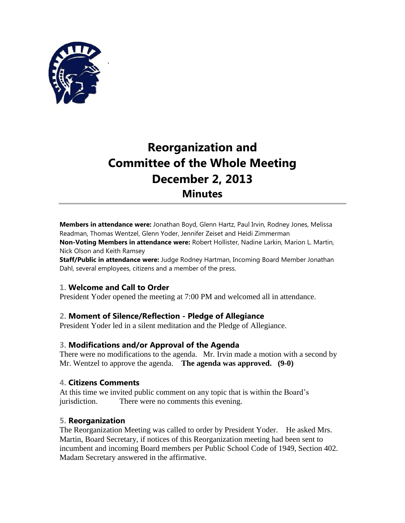

.

# **Reorganization and Committee of the Whole Meeting December 2, 2013 Minutes**

**Members in attendance were:** Jonathan Boyd, Glenn Hartz, Paul Irvin, Rodney Jones, Melissa Readman, Thomas Wentzel, Glenn Yoder, Jennifer Zeiset and Heidi Zimmerman

**Non-Voting Members in attendance were:** Robert Hollister, Nadine Larkin, Marion L. Martin, Nick Olson and Keith Ramsey

**Staff/Public in attendance were:** Judge Rodney Hartman, Incoming Board Member Jonathan Dahl, several employees, citizens and a member of the press.

## **1. Welcome and Call to Order**

President Yoder opened the meeting at 7:00 PM and welcomed all in attendance.

## **2. Moment of Silence/Reflection - Pledge of Allegiance**

President Yoder led in a silent meditation and the Pledge of Allegiance.

#### **3. Modifications and/or Approval of the Agenda**

There were no modifications to the agenda. Mr. Irvin made a motion with a second by Mr. Wentzel to approve the agenda. **The agenda was approved. (9-0)**

#### **4. Citizens Comments**

At this time we invited public comment on any topic that is within the Board's jurisdiction. There were no comments this evening.

#### **5. Reorganization**

The Reorganization Meeting was called to order by President Yoder. He asked Mrs. Martin, Board Secretary, if notices of this Reorganization meeting had been sent to incumbent and incoming Board members per Public School Code of 1949, Section 402. Madam Secretary answered in the affirmative.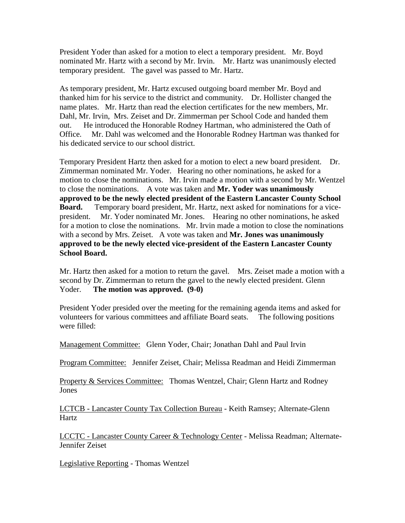President Yoder than asked for a motion to elect a temporary president. Mr. Boyd nominated Mr. Hartz with a second by Mr. Irvin. Mr. Hartz was unanimously elected temporary president. The gavel was passed to Mr. Hartz.

As temporary president, Mr. Hartz excused outgoing board member Mr. Boyd and thanked him for his service to the district and community. Dr. Hollister changed the name plates. Mr. Hartz than read the election certificates for the new members, Mr. Dahl, Mr. Irvin, Mrs. Zeiset and Dr. Zimmerman per School Code and handed them out. He introduced the Honorable Rodney Hartman, who administered the Oath of Office. Mr. Dahl was welcomed and the Honorable Rodney Hartman was thanked for his dedicated service to our school district.

Temporary President Hartz then asked for a motion to elect a new board president. Dr. Zimmerman nominated Mr. Yoder. Hearing no other nominations, he asked for a motion to close the nominations. Mr. Irvin made a motion with a second by Mr. Wentzel to close the nominations. A vote was taken and **Mr. Yoder was unanimously approved to be the newly elected president of the Eastern Lancaster County School Board.** Temporary board president, Mr. Hartz, next asked for nominations for a vicepresident. Mr. Yoder nominated Mr. Jones. Hearing no other nominations, he asked for a motion to close the nominations. Mr. Irvin made a motion to close the nominations with a second by Mrs. Zeiset. A vote was taken and **Mr. Jones was unanimously approved to be the newly elected vice-president of the Eastern Lancaster County School Board.**

Mr. Hartz then asked for a motion to return the gavel. Mrs. Zeiset made a motion with a second by Dr. Zimmerman to return the gavel to the newly elected president. Glenn Yoder. **The motion was approved. (9-0)**

President Yoder presided over the meeting for the remaining agenda items and asked for volunteers for various committees and affiliate Board seats. The following positions were filled:

Management Committee: Glenn Yoder, Chair; Jonathan Dahl and Paul Irvin

Program Committee: Jennifer Zeiset, Chair; Melissa Readman and Heidi Zimmerman

Property & Services Committee: Thomas Wentzel, Chair; Glenn Hartz and Rodney **Jones** 

LCTCB - Lancaster County Tax Collection Bureau - Keith Ramsey; Alternate-Glenn Hartz

LCCTC - Lancaster County Career & Technology Center - Melissa Readman; Alternate-Jennifer Zeiset

Legislative Reporting - Thomas Wentzel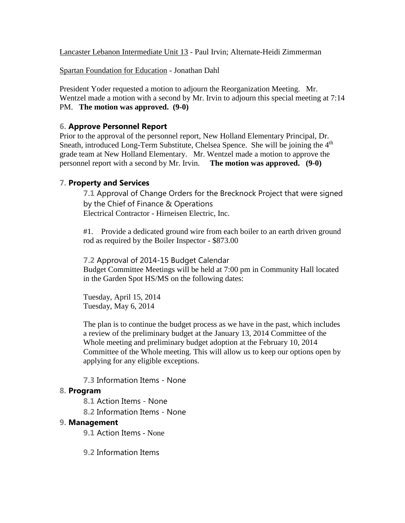Lancaster Lebanon Intermediate Unit 13 - Paul Irvin; Alternate-Heidi Zimmerman

Spartan Foundation for Education - Jonathan Dahl

President Yoder requested a motion to adjourn the Reorganization Meeting. Mr. Wentzel made a motion with a second by Mr. Irvin to adjourn this special meeting at 7:14 PM. **The motion was approved. (9-0)**

## **6. Approve Personnel Report**

Prior to the approval of the personnel report, New Holland Elementary Principal, Dr. Sneath, introduced Long-Term Substitute, Chelsea Spence. She will be joining the  $4<sup>th</sup>$ grade team at New Holland Elementary. Mr. Wentzel made a motion to approve the personnel report with a second by Mr. Irvin. **The motion was approved. (9-0)** 

## **7. Property and Services**

**7.1** Approval of Change Orders for the Brecknock Project that were signed by the Chief of Finance & Operations Electrical Contractor - Hirneisen Electric, Inc.

#1. Provide a dedicated ground wire from each boiler to an earth driven ground rod as required by the Boiler Inspector - \$873.00

**7.2** Approval of 2014-15 Budget Calendar Budget Committee Meetings will be held at 7:00 pm in Community Hall located in the Garden Spot HS/MS on the following dates:

Tuesday, April 15, 2014 Tuesday, May 6, 2014

The plan is to continue the budget process as we have in the past, which includes a review of the preliminary budget at the January 13, 2014 Committee of the Whole meeting and preliminary budget adoption at the February 10, 2014 Committee of the Whole meeting. This will allow us to keep our options open by applying for any eligible exceptions.

**7.3** Information Items - None

## **8. Program**

- **8.1** Action Items None
- **8.2** Information Items None

## **9. Management**

- **9.1** Action Items None
- **9.2** Information Items